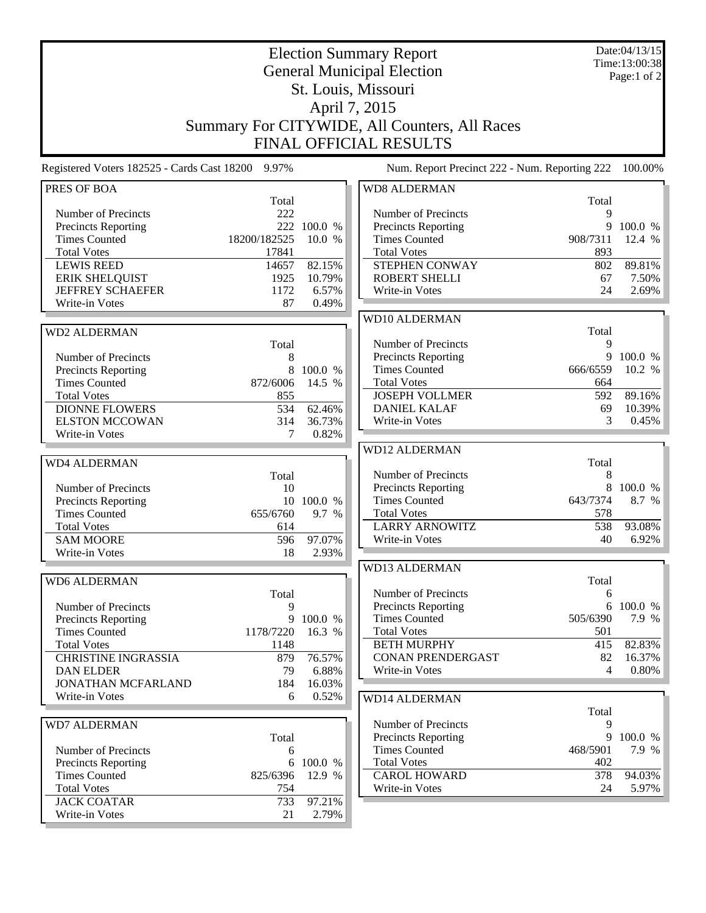|                                                                                                                                                                                                       | Date:04/13/15<br>Time:13:00:38<br>Page:1 of 2                               |                                                         |                                                                                                                                                                     |                                                       |                                               |
|-------------------------------------------------------------------------------------------------------------------------------------------------------------------------------------------------------|-----------------------------------------------------------------------------|---------------------------------------------------------|---------------------------------------------------------------------------------------------------------------------------------------------------------------------|-------------------------------------------------------|-----------------------------------------------|
|                                                                                                                                                                                                       |                                                                             |                                                         | Summary For CITYWIDE, All Counters, All Races<br><b>FINAL OFFICIAL RESULTS</b>                                                                                      |                                                       |                                               |
| Registered Voters 182525 - Cards Cast 18200 9.97%                                                                                                                                                     |                                                                             |                                                         | Num. Report Precinct 222 - Num. Reporting 222                                                                                                                       |                                                       | 100.00%                                       |
| PRES OF BOA                                                                                                                                                                                           |                                                                             |                                                         | <b>WD8 ALDERMAN</b>                                                                                                                                                 |                                                       |                                               |
| Number of Precincts<br><b>Precincts Reporting</b><br><b>Times Counted</b><br><b>Total Votes</b><br><b>LEWIS REED</b><br><b>ERIK SHELQUIST</b><br><b>JEFFREY SCHAEFER</b><br>Write-in Votes            | Total<br>222<br>222<br>18200/182525<br>17841<br>14657<br>1925<br>1172<br>87 | 100.0 %<br>10.0 %<br>82.15%<br>10.79%<br>6.57%<br>0.49% | Number of Precincts<br>Precincts Reporting<br><b>Times Counted</b><br><b>Total Votes</b><br>STEPHEN CONWAY<br><b>ROBERT SHELLI</b><br>Write-in Votes                | Total<br>9<br>9<br>908/7311<br>893<br>802<br>67<br>24 | 100.0 %<br>12.4 %<br>89.81%<br>7.50%<br>2.69% |
| <b>WD2 ALDERMAN</b><br>Number of Precincts                                                                                                                                                            | Total<br>8                                                                  |                                                         | WD10 ALDERMAN<br>Number of Precincts<br>Precincts Reporting                                                                                                         | Total<br>9                                            | 9 100.0 %                                     |
| <b>Precincts Reporting</b><br><b>Times Counted</b><br><b>Total Votes</b><br><b>DIONNE FLOWERS</b><br><b>ELSTON MCCOWAN</b>                                                                            | 8<br>872/6006<br>855<br>534<br>314                                          | 100.0 %<br>14.5 %<br>62.46%<br>36.73%                   | <b>Times Counted</b><br><b>Total Votes</b><br><b>JOSEPH VOLLMER</b><br><b>DANIEL KALAF</b><br>Write-in Votes                                                        | 666/6559<br>664<br>592<br>69<br>3                     | 10.2 %<br>89.16%<br>10.39%<br>0.45%           |
| Write-in Votes                                                                                                                                                                                        | 7                                                                           | 0.82%                                                   | <b>WD12 ALDERMAN</b>                                                                                                                                                |                                                       |                                               |
| <b>WD4 ALDERMAN</b><br>Number of Precincts<br>Precincts Reporting<br><b>Times Counted</b><br><b>Total Votes</b><br><b>SAM MOORE</b>                                                                   | Total<br>10<br>655/6760<br>614<br>596                                       | 10 100.0 %<br>9.7 %<br>97.07%                           | Number of Precincts<br>Precincts Reporting<br><b>Times Counted</b><br><b>Total Votes</b><br><b>LARRY ARNOWITZ</b><br>Write-in Votes                                 | Total<br>8<br>8<br>643/7374<br>578<br>538<br>40       | 100.0 %<br>8.7 %<br>93.08%<br>6.92%           |
| Write-in Votes                                                                                                                                                                                        | -18                                                                         | 2.93%                                                   | <b>WD13 ALDERMAN</b>                                                                                                                                                |                                                       |                                               |
| <b>WD6 ALDERMAN</b><br>Number of Precincts<br><b>Precincts Reporting</b><br><b>Times Counted</b><br><b>Total Votes</b><br><b>CHRISTINE INGRASSIA</b><br><b>DAN ELDER</b><br><b>JONATHAN MCFARLAND</b> | Total<br>9<br>9<br>1178/7220<br>1148<br>879<br>79<br>184                    | 100.0 %<br>16.3 %<br>76.57%<br>6.88%<br>16.03%          | Number of Precincts<br><b>Precincts Reporting</b><br><b>Times Counted</b><br><b>Total Votes</b><br><b>BETH MURPHY</b><br><b>CONAN PRENDERGAST</b><br>Write-in Votes | Total<br>6<br>6<br>505/6390<br>501<br>415<br>82<br>4  | 100.0 %<br>7.9 %<br>82.83%<br>16.37%<br>0.80% |
| Write-in Votes                                                                                                                                                                                        | 6                                                                           | 0.52%                                                   | <b>WD14 ALDERMAN</b>                                                                                                                                                | Total                                                 |                                               |
| <b>WD7 ALDERMAN</b><br>Number of Precincts<br><b>Precincts Reporting</b><br><b>Times Counted</b>                                                                                                      | Total<br>$\boldsymbol{6}$<br>825/6396                                       | 6 100.0 %<br>12.9 %                                     | Number of Precincts<br>Precincts Reporting<br><b>Times Counted</b><br><b>Total Votes</b><br><b>CAROL HOWARD</b>                                                     | 9<br>468/5901<br>402<br>378                           | 9 100.0 %<br>7.9 %<br>94.03%                  |
| <b>Total Votes</b><br><b>JACK COATAR</b><br>Write-in Votes                                                                                                                                            | 754<br>733<br>21                                                            | 97.21%<br>2.79%                                         | Write-in Votes                                                                                                                                                      | 24                                                    | 5.97%                                         |